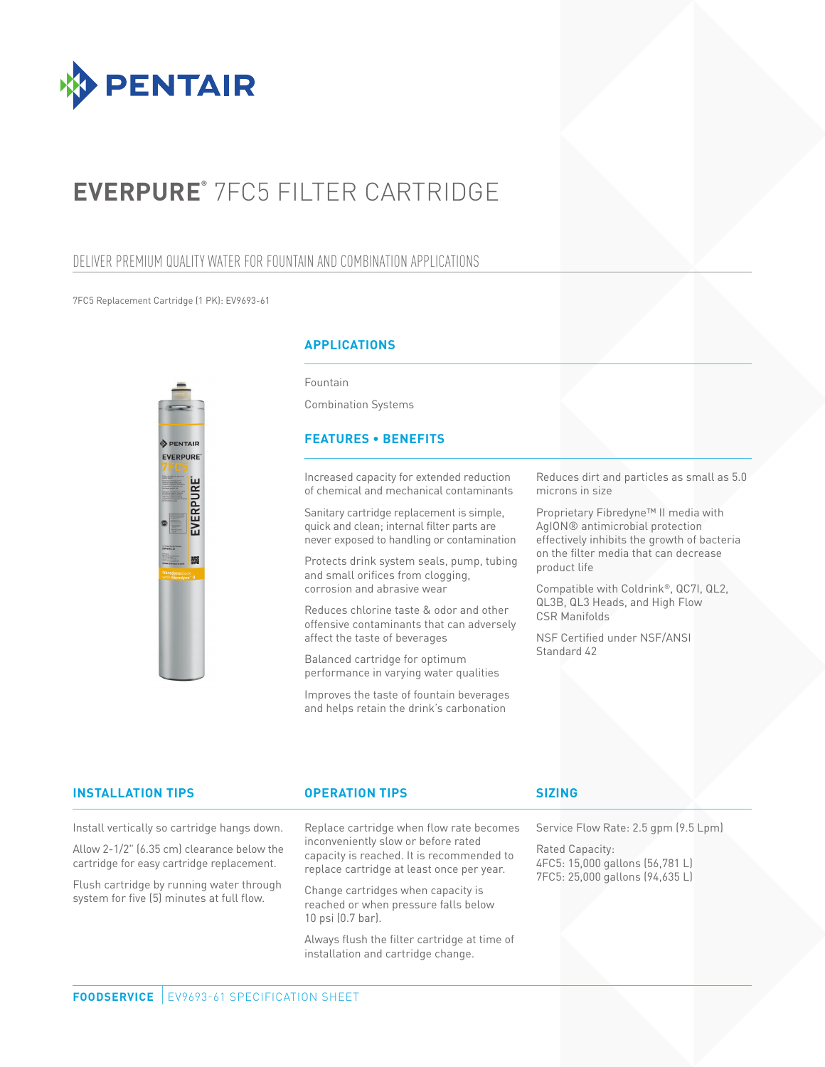

# **EVERPURE®** 7FC5 FILTER CARTRIDGE

## DELIVER PREMIUM QUALITY WATER FOR FOUNTAIN AND COMBINATION APPLICATIONS

#### 7FC5 Replacement Cartridge (1 PK): EV9693-61



### **APPLICATIONS**

Fountain

Combination Systems

#### **FEATURES • BENEFITS**

Increased capacity for extended reduction of chemical and mechanical contaminants

Sanitary cartridge replacement is simple, quick and clean; internal filter parts are never exposed to handling or contamination

Protects drink system seals, pump, tubing and small orifices from clogging, corrosion and abrasive wear

Reduces chlorine taste & odor and other offensive contaminants that can adversely affect the taste of beverages

Balanced cartridge for optimum performance in varying water qualities

Improves the taste of fountain beverages and helps retain the drink's carbonation

Reduces dirt and particles as small as 5.0 microns in size

Proprietary Fibredyne™ II media with AgION® antimicrobial protection effectively inhibits the growth of bacteria on the filter media that can decrease product life

Compatible with Coldrink®, QC7I, QL2, QL3B, QL3 Heads, and High Flow CSR Manifolds

NSF Certified under NSF/ANSI Standard 42

#### **INSTALLATION TIPS OPERATION TIPS**

Install vertically so cartridge hangs down.

Allow 2-1/2" (6.35 cm) clearance below the cartridge for easy cartridge replacement.

Flush cartridge by running water through system for five (5) minutes at full flow.

Replace cartridge when flow rate becomes inconveniently slow or before rated capacity is reached. It is recommended to replace cartridge at least once per year.

Change cartridges when capacity is reached or when pressure falls below 10 psi (0.7 bar).

Always flush the filter cartridge at time of installation and cartridge change.

### **SIZING**

Service Flow Rate: 2.5 gpm (9.5 Lpm)

Rated Capacity: 4FC5: 15,000 gallons (56,781 L) 7FC5: 25,000 gallons (94,635 L)